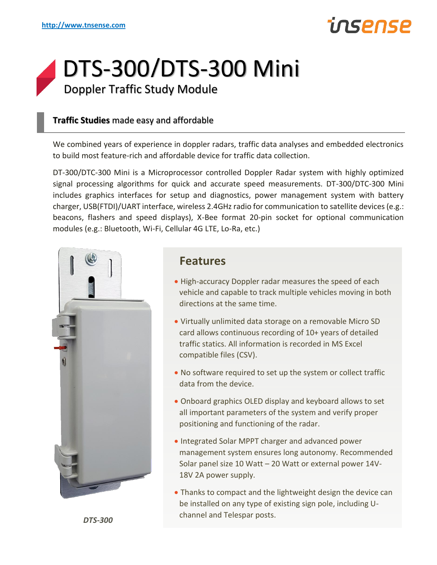## ηςρηςρ

### DTS-300/DTS-300 Mini Doppler Traffic Study Module

#### **Traffic Studies** made easy and affordable

We combined years of experience in doppler radars, traffic data analyses and embedded electronics to build most feature-rich and affordable device for traffic data collection.

DT-300/DTC-300 Mini is a Microprocessor controlled Doppler Radar system with highly optimized signal processing algorithms for quick and accurate speed measurements. DT-300/DTC-300 Mini includes graphics interfaces for setup and diagnostics, power management system with battery charger, USB(FTDI)/UART interface, wireless 2.4GHz radio for communication to satellite devices (e.g.: beacons, flashers and speed displays), X-Bee format 20-pin socket for optional communication modules (e.g.: Bluetooth, Wi-Fi, Cellular 4G LTE, Lo-Ra, etc.)



#### **Features**

- High-accuracy Doppler radar measures the speed of each vehicle and capable to track multiple vehicles moving in both directions at the same time.
- Virtually unlimited data storage on a removable Micro SD card allows continuous recording of 10+ years of detailed traffic statics. All information is recorded in MS Excel compatible files (CSV).
- No software required to set up the system or collect traffic data from the device.
- Onboard graphics OLED display and keyboard allows to set all important parameters of the system and verify proper positioning and functioning of the radar.
- Integrated Solar MPPT charger and advanced power management system ensures long autonomy. Recommended Solar panel size 10 Watt – 20 Watt or external power 14V-18V 2A power supply.
- Thanks to compact and the lightweight design the device can be installed on any type of existing sign pole, including Uchannel and Telespar posts.

*DTS-300*